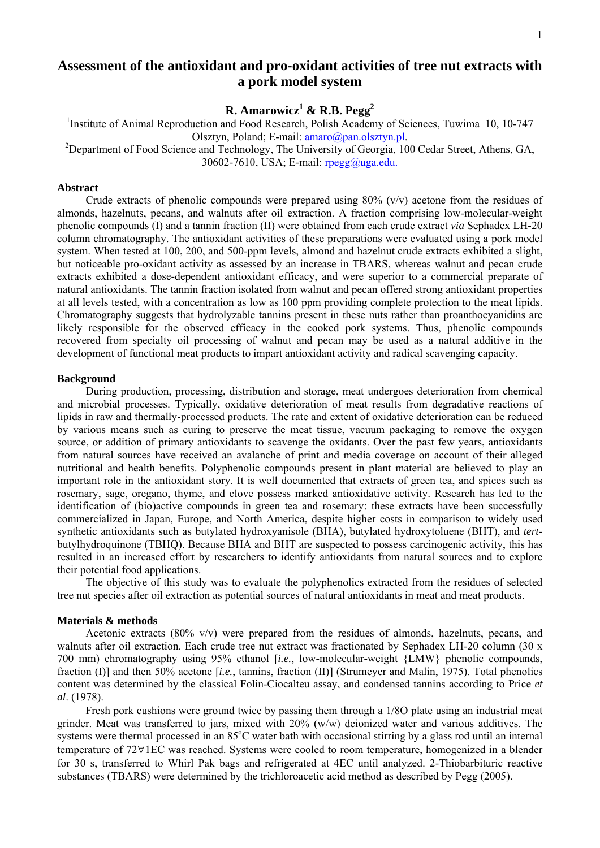# **Assessment of the antioxidant and pro-oxidant activities of tree nut extracts with a pork model system**

**R. Amarowicz1 & R.B. Pegg2**

<sup>1</sup>Institute of Animal Reproduction and Food Research, Polish Academy of Sciences, Tuwima 10, 10-747 Olsztyn, Poland; E-mail: amaro@pan.olsztyn.pl. 2

<sup>2</sup>Department of Food Science and Technology, The University of Georgia, 100 Cedar Street, Athens, GA, 30602-7610, USA; E-mail: rpegg@uga.edu.

# **Abstract**

Crude extracts of phenolic compounds were prepared using  $80\%$  (v/v) acetone from the residues of almonds, hazelnuts, pecans, and walnuts after oil extraction. A fraction comprising low-molecular-weight phenolic compounds (I) and a tannin fraction (II) were obtained from each crude extract *via* Sephadex LH-20 column chromatography. The antioxidant activities of these preparations were evaluated using a pork model system. When tested at 100, 200, and 500-ppm levels, almond and hazelnut crude extracts exhibited a slight, but noticeable pro-oxidant activity as assessed by an increase in TBARS, whereas walnut and pecan crude extracts exhibited a dose-dependent antioxidant efficacy, and were superior to a commercial preparate of natural antioxidants. The tannin fraction isolated from walnut and pecan offered strong antioxidant properties at all levels tested, with a concentration as low as 100 ppm providing complete protection to the meat lipids. Chromatography suggests that hydrolyzable tannins present in these nuts rather than proanthocyanidins are likely responsible for the observed efficacy in the cooked pork systems. Thus, phenolic compounds recovered from specialty oil processing of walnut and pecan may be used as a natural additive in the development of functional meat products to impart antioxidant activity and radical scavenging capacity.

### **Background**

During production, processing, distribution and storage, meat undergoes deterioration from chemical and microbial processes. Typically, oxidative deterioration of meat results from degradative reactions of lipids in raw and thermally-processed products. The rate and extent of oxidative deterioration can be reduced by various means such as curing to preserve the meat tissue, vacuum packaging to remove the oxygen source, or addition of primary antioxidants to scavenge the oxidants. Over the past few years, antioxidants from natural sources have received an avalanche of print and media coverage on account of their alleged nutritional and health benefits. Polyphenolic compounds present in plant material are believed to play an important role in the antioxidant story. It is well documented that extracts of green tea, and spices such as rosemary, sage, oregano, thyme, and clove possess marked antioxidative activity. Research has led to the identification of (bio)active compounds in green tea and rosemary: these extracts have been successfully commercialized in Japan, Europe, and North America, despite higher costs in comparison to widely used synthetic antioxidants such as butylated hydroxyanisole (BHA), butylated hydroxytoluene (BHT), and *tert*butylhydroquinone (TBHQ). Because BHA and BHT are suspected to possess carcinogenic activity, this has resulted in an increased effort by researchers to identify antioxidants from natural sources and to explore their potential food applications.

The objective of this study was to evaluate the polyphenolics extracted from the residues of selected tree nut species after oil extraction as potential sources of natural antioxidants in meat and meat products.

### **Materials & methods**

Acetonic extracts  $(80\% \text{ v/v})$  were prepared from the residues of almonds, hazelnuts, pecans, and walnuts after oil extraction. Each crude tree nut extract was fractionated by Sephadex LH-20 column (30 x 700 mm) chromatography using 95% ethanol [*i.e.*, low-molecular-weight {LMW} phenolic compounds, fraction (I)] and then 50% acetone [*i.e.*, tannins, fraction (II)] (Strumeyer and Malin, 1975). Total phenolics content was determined by the classical Folin-Ciocalteu assay, and condensed tannins according to Price *et al*. (1978).

Fresh pork cushions were ground twice by passing them through a 1/8Ο plate using an industrial meat grinder. Meat was transferred to jars, mixed with 20% (w/w) deionized water and various additives. The systems were thermal processed in an 85°C water bath with occasional stirring by a glass rod until an internal temperature of 72∀1ΕC was reached. Systems were cooled to room temperature, homogenized in a blender for 30 s, transferred to Whirl Pak bags and refrigerated at 4ΕC until analyzed. 2-Thiobarbituric reactive substances (TBARS) were determined by the trichloroacetic acid method as described by Pegg (2005).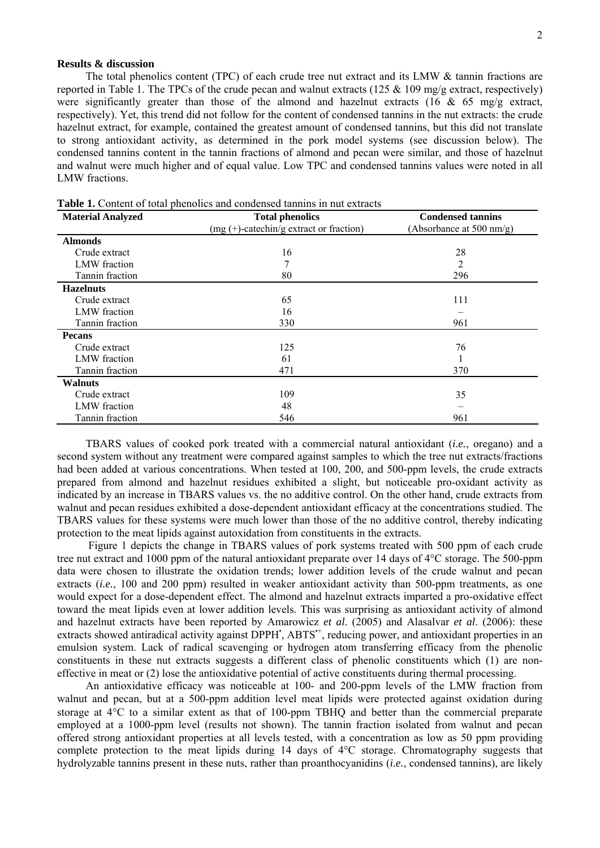## **Results & discussion**

The total phenolics content (TPC) of each crude tree nut extract and its LMW & tannin fractions are reported in Table 1. The TPCs of the crude pecan and walnut extracts (125  $\&$  109 mg/g extract, respectively) were significantly greater than those of the almond and hazelnut extracts (16 & 65 mg/g extract, respectively). Yet, this trend did not follow for the content of condensed tannins in the nut extracts: the crude hazelnut extract, for example, contained the greatest amount of condensed tannins, but this did not translate to strong antioxidant activity, as determined in the pork model systems (see discussion below). The condensed tannins content in the tannin fractions of almond and pecan were similar, and those of hazelnut and walnut were much higher and of equal value. Low TPC and condensed tannins values were noted in all LMW fractions.

| <b>Material Analyzed</b> | <b>Total phenolics</b>                           | <b>Condensed tannins</b> |
|--------------------------|--------------------------------------------------|--------------------------|
|                          | $(mg (+)-\text{catechin/g extract or fraction})$ | (Absorbance at 500 nm/g) |
| <b>Almonds</b>           |                                                  |                          |
| Crude extract            | 16                                               | 28                       |
| LMW fraction             | 7                                                | 2                        |
| Tannin fraction          | 80                                               | 296                      |
| <b>Hazelnuts</b>         |                                                  |                          |
| Crude extract            | 65                                               | 111                      |
| LMW fraction             | 16                                               |                          |
| Tannin fraction          | 330                                              | 961                      |
| <b>Pecans</b>            |                                                  |                          |
| Crude extract            | 125                                              | 76                       |
| LMW fraction             | 61                                               |                          |
| Tannin fraction          | 471                                              | 370                      |
| <b>Walnuts</b>           |                                                  |                          |
| Crude extract            | 109                                              | 35                       |
| LMW fraction             | 48                                               |                          |
| Tannin fraction          | 546                                              | 961                      |

**Table 1.** Content of total phenolics and condensed tannins in nut extracts

TBARS values of cooked pork treated with a commercial natural antioxidant (*i.e.*, oregano) and a second system without any treatment were compared against samples to which the tree nut extracts/fractions had been added at various concentrations. When tested at 100, 200, and 500-ppm levels, the crude extracts prepared from almond and hazelnut residues exhibited a slight, but noticeable pro-oxidant activity as indicated by an increase in TBARS values vs. the no additive control. On the other hand, crude extracts from walnut and pecan residues exhibited a dose-dependent antioxidant efficacy at the concentrations studied. The TBARS values for these systems were much lower than those of the no additive control, thereby indicating protection to the meat lipids against autoxidation from constituents in the extracts.

 Figure 1 depicts the change in TBARS values of pork systems treated with 500 ppm of each crude tree nut extract and 1000 ppm of the natural antioxidant preparate over 14 days of 4°C storage. The 500-ppm data were chosen to illustrate the oxidation trends; lower addition levels of the crude walnut and pecan extracts (*i.e.*, 100 and 200 ppm) resulted in weaker antioxidant activity than 500-ppm treatments, as one would expect for a dose-dependent effect. The almond and hazelnut extracts imparted a pro-oxidative effect toward the meat lipids even at lower addition levels. This was surprising as antioxidant activity of almond and hazelnut extracts have been reported by Amarowicz *et al*. (2005) and Alasalvar *et al*. (2006): these extracts showed antiradical activity against DPPH', ABTS<sup>++</sup>, reducing power, and antioxidant properties in an emulsion system. Lack of radical scavenging or hydrogen atom transferring efficacy from the phenolic constituents in these nut extracts suggests a different class of phenolic constituents which (1) are noneffective in meat or (2) lose the antioxidative potential of active constituents during thermal processing.

An antioxidative efficacy was noticeable at 100- and 200-ppm levels of the LMW fraction from walnut and pecan, but at a 500-ppm addition level meat lipids were protected against oxidation during storage at 4<sup>o</sup>C to a similar extent as that of 100-ppm TBHQ and better than the commercial preparate employed at a 1000-ppm level (results not shown). The tannin fraction isolated from walnut and pecan offered strong antioxidant properties at all levels tested, with a concentration as low as 50 ppm providing complete protection to the meat lipids during 14 days of  $4^{\circ}$ C storage. Chromatography suggests that hydrolyzable tannins present in these nuts, rather than proanthocyanidins (*i.e.*, condensed tannins), are likely